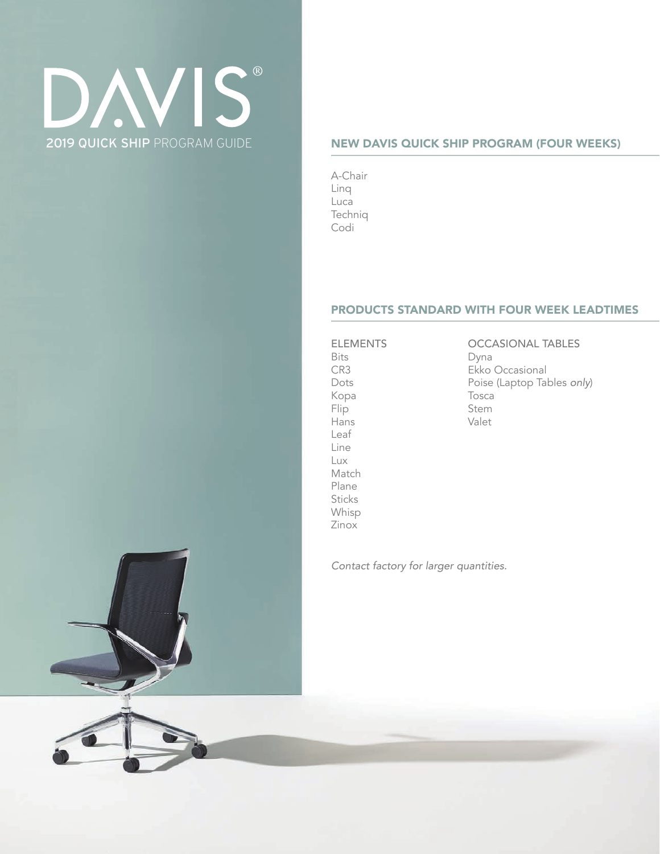# **VIS** DV. 2019 QUICK SHIP PROGRAM GUIDE

### NEW DAVIS QUICK SHIP PROGRAM (FOUR WEEKS)

A-Chair Linq Luca Techniq Codi

### PRODUCTS STANDARD WITH FOUR WEEK LEADTIMES

ELEMENTS Bits CR3 Dots Kopa Flip Hans Leaf Line Lux Match Plane **Sticks** Whisp Zinox

OCCASIONAL TABLES Dyna Ekko Occasional Poise (Laptop Tables *only*) Tosca Stem Valet

*Contact factory for larger quantities.* 



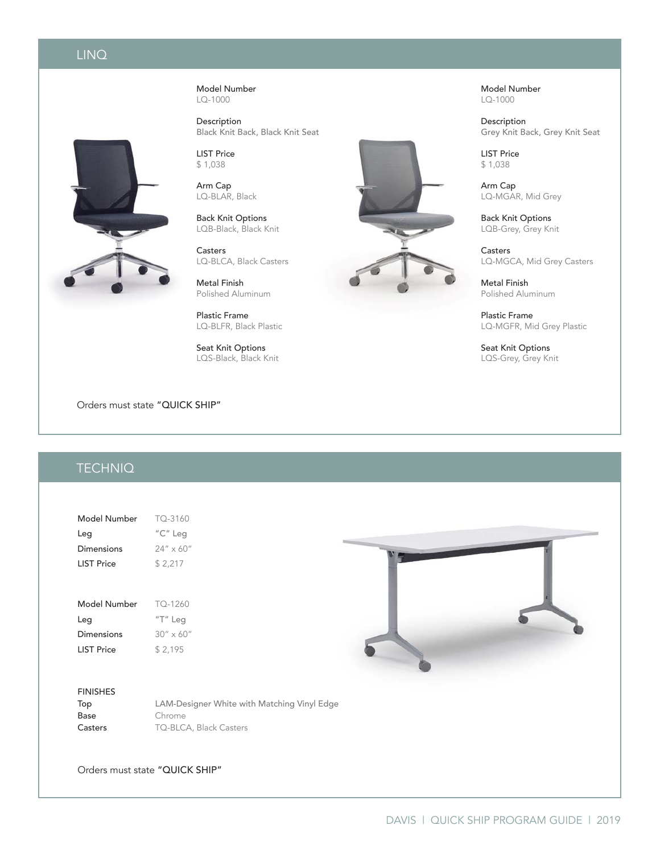## LINQ

Model Number LQ-1000

Description Black Knit Back, Black Knit Seat

LIST Price \$ 1,038

Arm Cap LQ-BLAR, Black

Back Knit Options LQB-Black, Black Knit

Casters LQ-BLCA, Black Casters

Metal Finish Polished Aluminum

Plastic Frame LQ-BLFR, Black Plastic

Seat Knit Options LQS-Black, Black Knit

Orders must state "QUICK SHIP"

# **TECHNIQ**

| Model Number       | TO-3160            |
|--------------------|--------------------|
| Leg                | "C" Leg            |
| Dimensions         | $24'' \times 60''$ |
| l IST Price        | \$2,217            |
|                    |                    |
|                    |                    |
|                    |                    |
| Model Number       | TO-1260            |
| Leg                | $T''$ Leg          |
| Dimensions         | $30'' \times 60''$ |
| <b>I IST Price</b> | \$2,195            |

#### FINISHES

| Top     | LAM-Designer White with Matching Vinyl Edge |
|---------|---------------------------------------------|
| Base    | Chrome                                      |
| Casters | TQ-BLCA, Black Casters                      |

Orders must state "QUICK SHIP"



Model Number LQ-1000

Description Grey Knit Back, Grey Knit Seat

LIST Price \$ 1,038

Arm Cap LQ-MGAR, Mid Grey

Back Knit Options LQB-Grey, Grey Knit

Casters LQ-MGCA, Mid Grey Casters

Metal Finish Polished Aluminum

Plastic Frame LQ-MGFR, Mid Grey Plastic

Seat Knit Options LQS-Grey, Grey Knit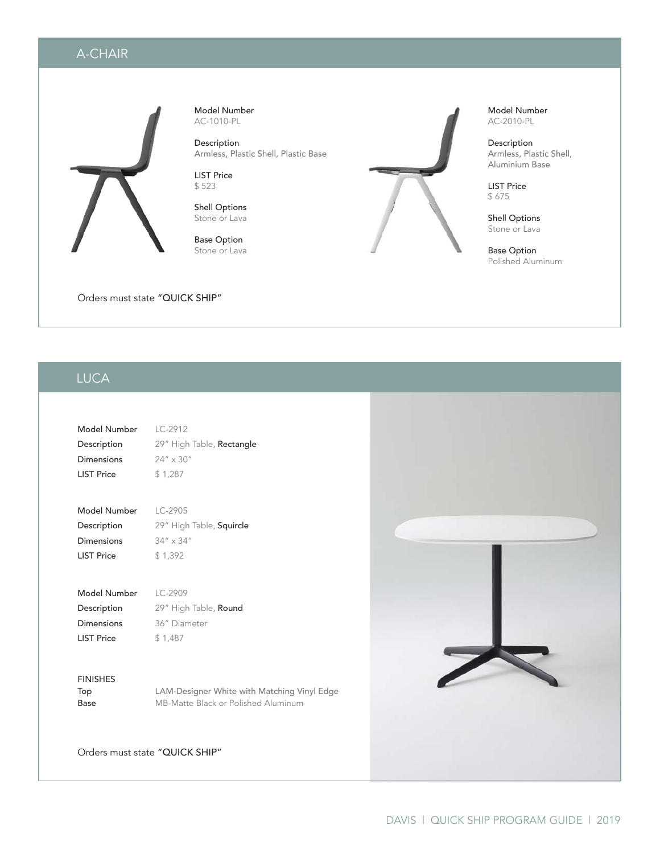# A-CHAIR



Model Number AC-1010-PL

Description Armless, Plastic Shell, Plastic Base

LIST Price \$ 523

Shell Options Stone or Lava

Base Option Stone or Lava



Model Number AC-2010-PL

Description Armless, Plastic Shell, Aluminium Base

LIST Price \$ 675

Shell Options Stone or Lava

Base Option Polished Aluminum

Orders must state "QUICK SHIP"

### LINQ LUCA

| Model Number      | $IC-2912$                        |
|-------------------|----------------------------------|
| Description       | 29" High Table, <b>Rectangle</b> |
| Dimensions        | $24'' \times 30''$               |
| <b>LIST Price</b> | \$1,287                          |
|                   |                                  |

| Model Number      | $LC-2905$                |
|-------------------|--------------------------|
| Description       | 29" High Table, Squircle |
| Dimensions        | $34'' \times 34''$       |
| <b>LIST Price</b> | \$1.392                  |

| Model Number      | $1 C - 2909$          |
|-------------------|-----------------------|
| Description       | 29" High Table, Round |
| Dimensions        | 36" Diameter          |
| <b>LIST Price</b> | \$1.487               |

FINISHES

Top LAM-Designer White with Matching Vinyl Edge Base MB-Matte Black or Polished Aluminum

Orders must state "QUICK SHIP"